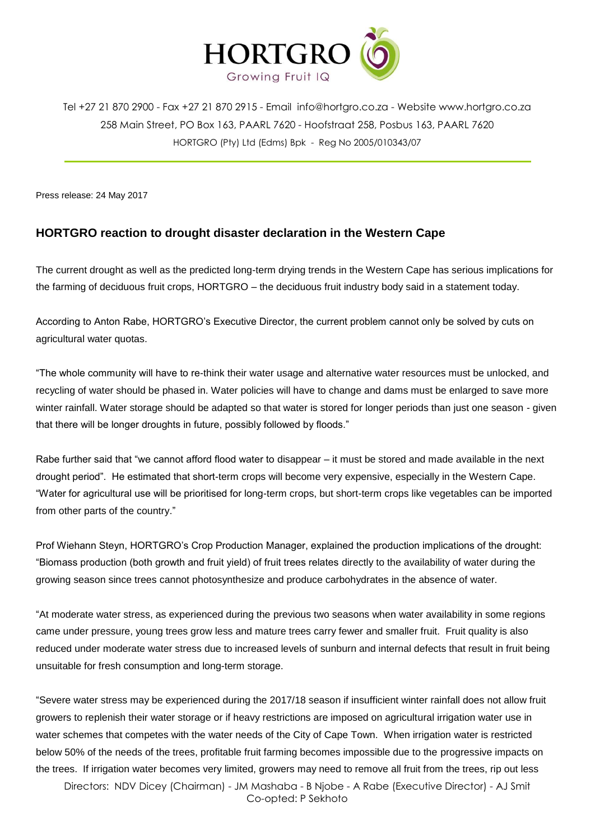

Tel +27 21 870 2900 - Fax +27 21 870 2915 - Email [info@hortgro.co.za](mailto:info@hortgro.co.za) - Website www.hortgro.co.za 258 Main Street, PO Box 163, PAARL 7620 - Hoofstraat 258, Posbus 163, PAARL 7620 HORTGRO (Pty) Ltd (Edms) Bpk - Reg No 2005/010343/07

Press release: 24 May 2017

## **HORTGRO reaction to drought disaster declaration in the Western Cape**

The current drought as well as the predicted long-term drying trends in the Western Cape has serious implications for the farming of deciduous fruit crops, HORTGRO – the deciduous fruit industry body said in a statement today.

According to Anton Rabe, HORTGRO's Executive Director, the current problem cannot only be solved by cuts on agricultural water quotas.

"The whole community will have to re-think their water usage and alternative water resources must be unlocked, and recycling of water should be phased in. Water policies will have to change and dams must be enlarged to save more winter rainfall. Water storage should be adapted so that water is stored for longer periods than just one season - given that there will be longer droughts in future, possibly followed by floods."

Rabe further said that "we cannot afford flood water to disappear – it must be stored and made available in the next drought period". He estimated that short-term crops will become very expensive, especially in the Western Cape. "Water for agricultural use will be prioritised for long-term crops, but short-term crops like vegetables can be imported from other parts of the country."

Prof Wiehann Steyn, HORTGRO's Crop Production Manager, explained the production implications of the drought: "Biomass production (both growth and fruit yield) of fruit trees relates directly to the availability of water during the growing season since trees cannot photosynthesize and produce carbohydrates in the absence of water.

"At moderate water stress, as experienced during the previous two seasons when water availability in some regions came under pressure, young trees grow less and mature trees carry fewer and smaller fruit. Fruit quality is also reduced under moderate water stress due to increased levels of sunburn and internal defects that result in fruit being unsuitable for fresh consumption and long-term storage.

"Severe water stress may be experienced during the 2017/18 season if insufficient winter rainfall does not allow fruit growers to replenish their water storage or if heavy restrictions are imposed on agricultural irrigation water use in water schemes that competes with the water needs of the City of Cape Town. When irrigation water is restricted below 50% of the needs of the trees, profitable fruit farming becomes impossible due to the progressive impacts on the trees. If irrigation water becomes very limited, growers may need to remove all fruit from the trees, rip out less

Directors: NDV Dicey (Chairman) - JM Mashaba - B Njobe - A Rabe (Executive Director) - AJ Smit Co-opted: P Sekhoto